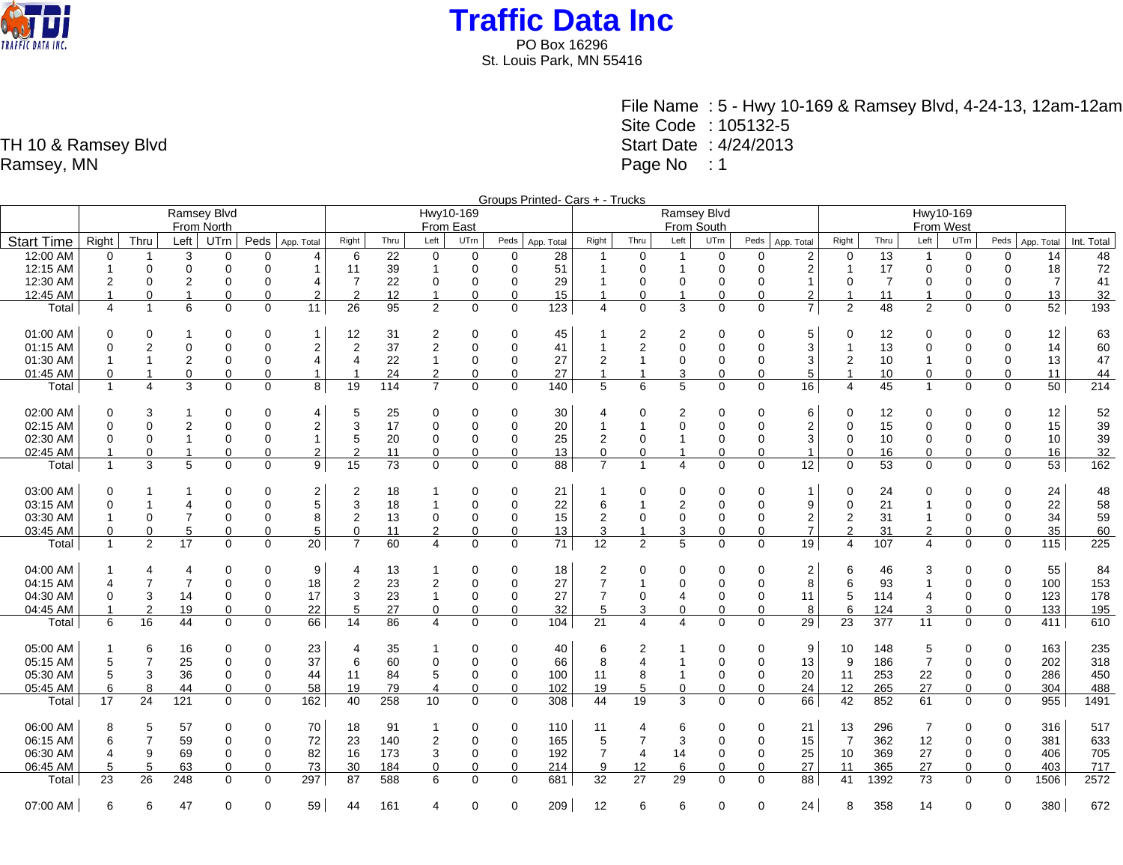

St. Louis Park, MN 55416

File Name : 5 - Hwy 10-169 & Ramsey Blvd, 4-24-13, 12am-12am Site Code : 105132-5 Start Date : 4/24/2013 Page No : 1

Groups Printed- Cars + - Trucks Ramsey Blvd From North Hwy10-169 From East Ramsey Blvd From South Hwy10-169 From West Start Time Right Thru Left UTrn Peds App. Total Right Thru Left UTrn Peds App. Total Right Thru Left UTrn Peds App. Total Right Thru Left UTrn Peds App. Total Right Thru Left UTrn Peds App. Total Int. Total 12:00 AM 0 1 3 0 0 4 6 22 0 0 0 28 1 0 1 0 0 2 0 13 1 0 0 14 48 12:15 AM 1 0 0 0 0 1 11 39 1 0 0 51 1 0 1 0 0 2 1 17 0 0 0 18 72 12:30 AM 2 0 2 0 0 4 7 22 0 0 0 29 1 0 0 0 0 1 0 7 0 0 0 7 41 12:45 AM | 1 0 1 0 0 2 | 2 12 1 0 0 15 | 1 0 1 0 0 2 | 1 11 1 0 0 13 | 32 Total 4 1 6 0 0 11 26 95 2 0 0 123 4 0 3 0 0 7 2 48 2 0 0 52 193 01:00 AM | 0 0 1 0 0 1 | 12 31 2 0 0 45 | 1 2 2 0 0 5 | 0 12 0 0 12 | 63 01:15 AM 0 2 0 0 0 2 2 37 2 0 0 41 1 2 0 0 0 3 1 13 0 0 0 14 60 01:30 AM | 1 1 2 0 0 4 | 4 22 1 0 0 27 | 2 1 0 0 0 3 | 2 10 1 0 0 13 | 47 01:45 AM | 0 1 0 0 0 0 1 | 1 24 2 0 0 27 | 1 1 3 0 0 5 | 1 10 0 0 0 11 | 44 Total 1 4 3 0 0 8 19 114 7 0 0 140 5 6 5 0 0 16 4 45 1 0 0 50 214 02:00 AM | 0 3 1 0 0 4 | 5 25 0 0 0 30 | 4 0 2 0 0 6 | 0 12 0 0 0 12 | 52 02:15 AM 0 0 2 0 0 2 3 17 0 0 0 20 1 1 0 0 0 2 0 15 0 0 0 15 39 02:30 AM | 0 0 0 1 0 0 0 1 | 5 20 0 0 0 25 | 2 0 1 0 0 3 | 0 10 0 0 0 0 10 | 39 02:45 AM | 1 0 1 0 0 0 2 | 2 11 0 0 0 13 | 0 0 1 0 0 1 0 16 0 0 0 16 32 Total 1 3 5 0 0 9 15 73 0 0 0 88 7 1 4 0 0 12 0 53 0 0 0 53 162 03:00 AM | 0 1 1 0 0 2 | 2 18 1 0 0 21 | 1 0 0 0 0 0 1 | 0 24 0 0 0 24 | 48 03:15 AM 0 1 4 0 0 5 3 18 1 0 0 22 6 1 2 0 0 9 0 21 1 0 0 22 58 03:30 AM 1 0 7 0 0 8 2 13 0 0 0 15 2 0 0 0 0 2 2 31 1 0 0 34 59 03:45 AM | 0 0 5 0 0 5 | 0 11 2 0 0 13 | 3 1 3 0 0 7 | 2 31 2 0 0 35 | 60 Total 1 2 17 0 0 20 7 60 4 0 0 71 12 2 5 0 0 19 4 107 4 0 0 115 225 04:00 AM | 1 4 4 0 0 9 | 4 13 1 0 0 18 | 2 0 0 0 2 | 6 46 3 0 0 55 | 84 04:15 AM | 4 7 7 0 0 18 | 2 23 2 0 0 27 | 7 1 0 0 8 | 6 93 1 0 0 100 | 153 04:30 AM 0 3 14 0 0 17 3 23 1 0 0 27 7 0 4 0 0 11 5 114 4 0 0 123 178 04:45 AM 1 2 19 0 0 22 5 27 0 0 0 32 5 3 0 0 0 8 6 124 3 0 0 133 195 Total 6 16 44 0 0 66 14 86 4 0 0 104 21 4 4 0 0 29 23 377 11 0 0 411 610 05:00 AM 1 6 16 0 0 23 4 35 1 0 0 40 6 2 1 0 0 9 10 148 5 0 0 163 235 05:15 AM 5 7 25 0 0 37 6 60 0 0 0 66 8 4 1 0 0 13 9 186 7 0 0 202 318 05:30 AM | 5 3 36 0 0 44 | 11 84 5 0 0 100 | 11 8 1 0 20 | 11 253 22 0 0 286 | 450 05:45 AM 6 8 44 0 0 58 19 79 4 0 0 102 19 5 0 0 0 24 12 265 27 0 0 304 488 Total 17 24 121 0 0 162 40 258 10 0 0 308 44 19 3 0 0 66 42 852 61 0 0 955 1491 06:00 AM | 8 5 57 0 0 70 | 18 91 1 0 0 110 | 11 4 6 0 0 21 | 13 296 7 0 0 316 | 517 06:15 AM 6 7 59 0 0 72 23 140 2 0 0 165 5 7 3 0 0 15 7 362 12 0 0 381 633 06:30 AM | 4 9 69 0 0 82 | 16 173 3 0 0 192 | 7 4 14 0 0 25 | 10 369 27 0 0 406 | 705 06:45 AM | 5 5 63 0 0 73 | 30 184 0 0 0 214 | 9 12 6 0 0 27 | 11 365 27 0 0 403 | 717 Total 23 26 248 0 0 297 87 588 6 0 0 681 32 27 29 0 0 88 41 1392 73 0 0 1506 2572

07:00 AM | 6 6 47 0 0 59 | 44 161 4 0 0 209 | 12 6 6 0 0 24 | 8 358 14 0 0 380 | 672

TH 10 & Ramsey Blvd Ramsey, MN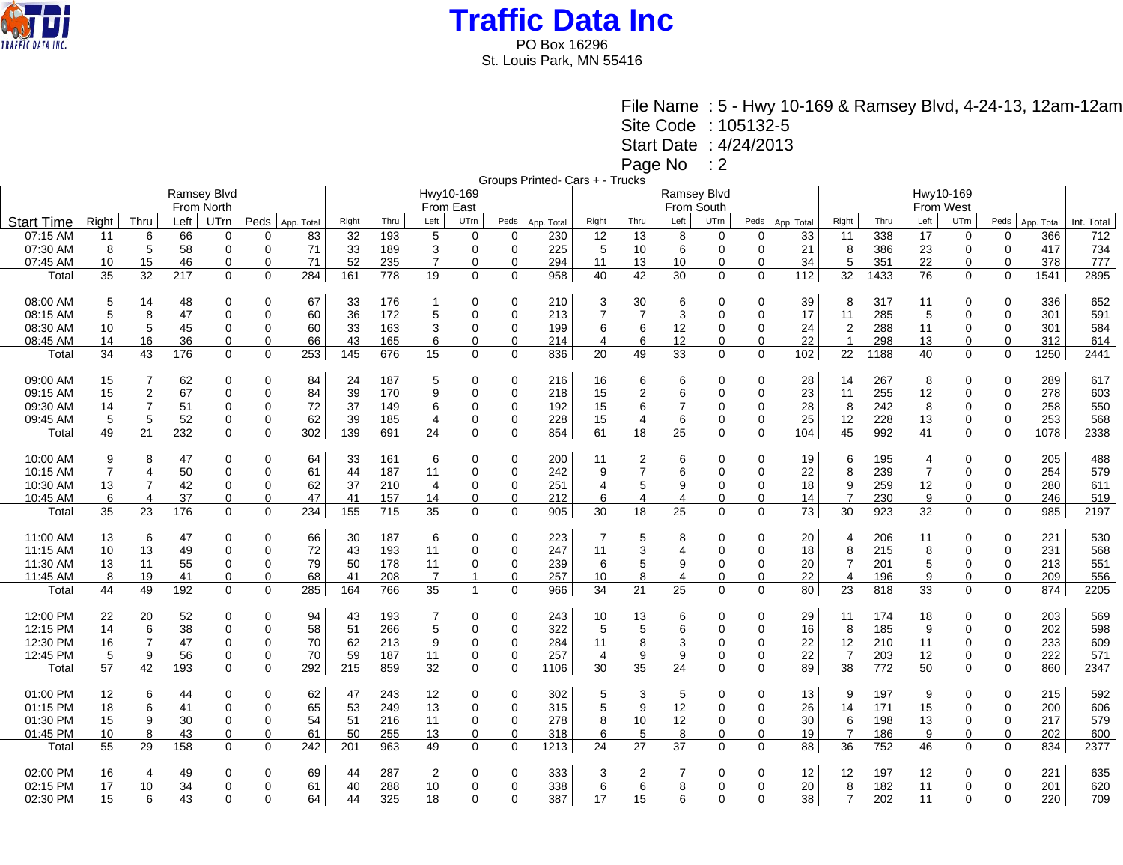

St. Louis Park, MN 55416

File Name : 5 - Hwy 10-169 & Ramsey Blvd, 4-24-13, 12am-12am

Site Code : 105132-5

Start Date : 4/24/2013

Page No : 2

Groups Printed- Cars + - Trucks

|                   |                |                |            |                |             |            |       |      |                |                |             | TOUPS I THROUGHOUT THUS THE |                |                 |                |             |             |            |                       |      |                |             |             |            |            |
|-------------------|----------------|----------------|------------|----------------|-------------|------------|-------|------|----------------|----------------|-------------|-----------------------------|----------------|-----------------|----------------|-------------|-------------|------------|-----------------------|------|----------------|-------------|-------------|------------|------------|
|                   |                |                |            | Ramsey Blvd    |             |            |       |      |                | Hwy10-169      |             |                             |                |                 | Ramsey Blvd    |             |             |            |                       |      | Hwy10-169      |             |             |            |            |
|                   |                |                | From North |                | From East   |            |       |      |                |                |             | From South                  |                |                 |                |             |             |            | From West             |      |                |             |             |            |            |
| <b>Start Time</b> | Right          | Thru           | Left       | UTrn           | Peds        | App. Total | Right | Thru | Left           | UTrn           | Peds        | App. Total                  | Right          | Thru            | Left           | UTrn        | Peds        |            | Right                 | Thru | Left           | UTrn        | Peds        | App. Total | Int. Total |
|                   |                |                |            |                |             |            |       |      |                |                |             |                             |                |                 |                |             |             | App. Total |                       |      |                |             |             |            |            |
| 07:15 AM          | 11             | 6              | 66         | 0              | ∩           | 83         | 32    | 193  | 5              | $\mathbf 0$    | 0           | 230                         | 12             | 13              | 8              | 0           | $\Omega$    | 33         | 11                    | 338  | 17             | $\mathbf 0$ | 0           | 366        | 712        |
| 07:30 AM          | 8              | 5              | 58         | $\Omega$       | $\Omega$    | 71         | 33    | 189  | 3              | 0              | 0           | 225                         | 5              | 10              | 6              | $\mathbf 0$ | $\Omega$    | 21         | 8                     | 386  | 23             | $\mathbf 0$ | 0           | 417        | 734        |
| 07:45 AM          | 10             | 15             | 46         | 0              | $\Omega$    | 71         | 52    | 235  | $\overline{7}$ | 0              | $\Omega$    | 294                         | 11             | 13              | 10             | 0           | $\Omega$    | 34         | 5                     | 351  | 22             | $\Omega$    | 0           | 378        | 777        |
| Total             | 35             | 32             | 217        | $\Omega$       | $\Omega$    | 284        | 161   | 778  | 19             | $\Omega$       | $\mathbf 0$ | 958                         | 40             | 42              | 30             | $\Omega$    | $\Omega$    | 112        | 32                    | 1433 | 76             | $\Omega$    | $\Omega$    | 1541       | 2895       |
|                   |                |                |            |                |             |            |       |      |                |                |             |                             |                |                 |                |             |             |            |                       |      |                |             |             |            |            |
| 08:00 AM          | 5              | 14             | 48         | $\Omega$       | $\Omega$    | 67         | 33    | 176  | -1             | 0              | 0           | 210                         | 3              | 30              | 6              | 0           | 0           | 39         | 8                     | 317  | 11             | $\Omega$    | $\Omega$    | 336        | 652        |
| 08:15 AM          | 5              | 8              | 47         | $\Omega$       | $\Omega$    | 60         | 36    | 172  | 5              | 0              | $\Omega$    | 213                         | $\overline{7}$ | $\overline{7}$  | 3              | $\Omega$    | $\Omega$    | 17         | 11                    | 285  | 5              | $\Omega$    | $\Omega$    | 301        | 591        |
| 08:30 AM          | 10             | 5              | 45         | 0              | $\Omega$    | 60         | 33    | 163  | 3              | $\Omega$       | 0           | 199                         | 6              | 6               | 12             | 0           | $\Omega$    | 24         | $\overline{2}$        | 288  | 11             | 0           | 0           | 301        | 584        |
| 08:45 AM          | 14             | 16             | 36         | 0              | $\Omega$    | 66         | 43    | 165  | 6              | 0              | 0           | 214                         | 4              | 6               | 12             | $\mathbf 0$ | 0           | 22         |                       | 298  | 13             | 0           | $\mathbf 0$ | 312        | 614        |
| Total             | 34             | 43             | 176        | $\mathbf 0$    | $\mathbf 0$ | 253        | 145   | 676  | 15             | 0              | 0           | 836                         | 20             | 49              | 33             | $\mathbf 0$ | 0           | 102        | 22                    | 1188 | 40             | $\mathbf 0$ | $\mathbf 0$ | 1250       | 2441       |
|                   |                |                |            |                |             |            |       |      |                |                |             |                             |                |                 |                |             |             |            |                       |      |                |             |             |            |            |
| 09:00 AM          | 15             | 7              | 62         | $\Omega$       | $\Omega$    | 84         | 24    | 187  | 5              | 0              | 0           | 216                         | 16             | 6               | 6              | 0           | 0           | 28         | 14                    | 267  | 8              | $\Omega$    | $\Omega$    | 289        | 617        |
| 09:15 AM          | 15             | $\overline{2}$ | 67         | $\Omega$       | $\Omega$    | 84         | 39    | 170  | 9              | 0              | $\mathbf 0$ | 218                         | 15             | $\overline{2}$  | 6              | $\mathbf 0$ | 0           | 23         | 11                    | 255  | 12             | $\Omega$    | 0           | 278        | 603        |
|                   |                | $\overline{7}$ | 51         |                | $\Omega$    |            | 37    |      | 6              |                |             |                             | 15             |                 |                |             | $\Omega$    |            | 8                     |      | 8              | $\Omega$    | 0           | 258        |            |
| 09:30 AM          | 14<br>5        |                |            | 0              |             | 72         |       | 149  |                | 0              | $\Omega$    | 192                         |                | 6               |                | 0           | $\Omega$    | 28         |                       | 242  |                |             |             |            | 550        |
| 09:45 AM          |                | 5              | 52         | $\mathbf 0$    | $\Omega$    | 62         | 39    | 185  | $\overline{4}$ | 0              | 0           | 228                         | 15             | 4               | 6              | 0           |             | 25         | 12                    | 228  | 13             | 0           | 0           | 253        | 568        |
| Total             | 49             | 21             | 232        | $\Omega$       | $\Omega$    | 302        | 139   | 691  | 24             | $\Omega$       | 0           | 854                         | 61             | 18              | 25             | $\Omega$    | $\Omega$    | 104        | 45                    | 992  | 41             | $\Omega$    | $\mathbf 0$ | 1078       | 2338       |
|                   |                |                |            |                |             |            |       |      |                |                |             |                             |                |                 |                |             |             |            |                       |      |                |             |             |            |            |
| 10:00 AM          | 9              | 8              | 47         | 0              | $\Omega$    | 64         | 33    | 161  | 6              | 0              | 0           | 200                         | 11             | 2               | 6              | 0           | 0           | 19         | 6                     | 195  | $\overline{4}$ | $\Omega$    | $\Omega$    | 205        | 488        |
| 10:15 AM          | $\overline{7}$ | 4              | 50         | $\Omega$       | $\Omega$    | 61         | 44    | 187  | 11             | 0              | $\Omega$    | 242                         | 9              | $\overline{7}$  | 6              | $\mathbf 0$ | $\Omega$    | 22         | 8                     | 239  | $\overline{7}$ | $\Omega$    | 0           | 254        | 579        |
| 10:30 AM          | 13             | $\overline{7}$ | 42         | $\overline{0}$ | $\Omega$    | 62         | 37    | 210  | $\overline{4}$ | 0              | 0           | 251                         | 4              | 5               | 9              | $\mathbf 0$ | $\mathbf 0$ | 18         | 9                     | 259  | 12             | $\mathbf 0$ | $\mathbf 0$ | 280        | 611        |
| 10:45 AM          | 6              | 4              | 37         | 0              | $\Omega$    | 47         | 41    | 157  | 14             | 0              | 0           | 212                         | 6              | 4               | $\overline{4}$ | 0           | 0           | 14         | $\overline{7}$        | 230  | 9              | 0           | 0           | 246        | 519        |
| Total             | 35             | 23             | 176        | $\Omega$       | $\Omega$    | 234        | 155   | 715  | 35             | $\mathbf 0$    | $\mathbf 0$ | 905                         | 30             | 18              | 25             | $\Omega$    | $\Omega$    | 73         | 30                    | 923  | 32             | $\mathbf 0$ | $\mathbf 0$ | 985        | 2197       |
|                   |                |                |            |                |             |            |       |      |                |                |             |                             |                |                 |                |             |             |            |                       |      |                |             |             |            |            |
| 11:00 AM          | 13             | 6              | 47         | $\Omega$       | $\Omega$    | 66         | 30    | 187  | 6              | 0              | $\Omega$    | 223                         | 7              | 5               | 8              | 0           | 0           | 20         | 4                     | 206  | 11             | $\Omega$    | $\Omega$    | 221        | 530        |
| 11:15 AM          | 10             | 13             | 49         | $\mathbf 0$    | $\mathbf 0$ | 72         | 43    | 193  | 11             | 0              | 0           | 247                         | 11             | 3               | $\overline{4}$ | $\mathbf 0$ | $\mathbf 0$ | 18         | 8                     | 215  | 8              | $\mathbf 0$ | 0           | 231        | 568        |
| 11:30 AM          | 13             | 11             | 55         | $\Omega$       | $\Omega$    | 79         | 50    | 178  | 11             | 0              | 0           | 239                         | 6              | 5               | 9              | $\mathbf 0$ | $\mathbf 0$ | 20         | $\overline{7}$        | 201  | 5              | $\Omega$    | $\mathbf 0$ | 213        | 551        |
| 11:45 AM          | 8              | 19             | 41         | $\mathbf 0$    | $\Omega$    | 68         | 41    | 208  | $\overline{7}$ | $\overline{ }$ | $\Omega$    | 257                         | 10             | 8               | $\overline{4}$ | $\mathbf 0$ | $\Omega$    | 22         | $\boldsymbol{\Delta}$ | 196  | 9              | $\Omega$    | $\mathbf 0$ | 209        | 556        |
| Total             | 44             | 49             | 192        | $\Omega$       | $\Omega$    | 285        | 164   | 766  | 35             | $\overline{1}$ | $\mathbf 0$ | 966                         | 34             | 21              | 25             | $\Omega$    | $\Omega$    | 80         | 23                    | 818  | 33             | $\Omega$    | $\Omega$    | 874        | 2205       |
|                   |                |                |            |                |             |            |       |      |                |                |             |                             |                |                 |                |             |             |            |                       |      |                |             |             |            |            |
| 12:00 PM          | 22             | 20             | 52         | $\Omega$       | $\Omega$    | 94         | 43    | 193  |                | 0              | 0           | 243                         | 10             | 13              | 6              | $\mathbf 0$ | 0           | 29         | 11                    | 174  | 18             | $\Omega$    | $\Omega$    | 203        | 569        |
| 12:15 PM          | 14             | 6              | 38         | $\Omega$       | $\Omega$    | 58         | 51    | 266  | 5              | 0              | $\Omega$    | 322                         | 5              | 5               | 6              | $\Omega$    | $\Omega$    | 16         | 8                     | 185  | 9              | $\Omega$    | 0           | 202        | 598        |
| 12:30 PM          | 16             | $\overline{7}$ | 47         | $\mathbf 0$    | $\Omega$    | 70         | 62    | 213  | 9              | 0              | 0           | 284                         | 11             | 8               | 3              | 0           | $\mathbf 0$ | 22         | 12                    | 210  | 11             | 0           | 0           | 233        | 609        |
| 12:45 PM          | 5              | 9              | 56         | 0              | $\Omega$    | 70         | 59    | 187  | 11             | 0              | 0           | 257                         | 4              | 9               | 9              | $\Omega$    | $\Omega$    | 22         | $\overline{7}$        | 203  | 12             | 0           | 0           | 222        |            |
|                   |                |                |            |                |             | 292        |       |      |                |                |             |                             |                | 35              |                |             |             | 89         |                       | 772  | 50             |             |             |            | 571        |
| Total             | 57             | 42             | 193        | $\mathbf 0$    | $\mathbf 0$ |            | 215   | 859  | 32             | 0              | 0           | 1106                        | 30             |                 | 24             | $\mathbf 0$ | 0           |            | 38                    |      |                | $\mathbf 0$ | $\mathbf 0$ | 860        | 2347       |
|                   |                |                |            |                |             |            |       |      |                |                |             |                             |                |                 |                |             |             |            |                       |      |                |             |             |            |            |
| 01:00 PM          | 12             | 6              | 44         | $\Omega$       | $\Omega$    | 62         | 47    | 243  | 12             | 0              | 0           | 302                         | 5              | 3               | 5              | 0           | $\Omega$    | 13         | 9                     | 197  | 9              | $\Omega$    | 0           | 215        | 592        |
| 01:15 PM          | 18             | 6              | 41         | $\mathbf 0$    | $\Omega$    | 65         | 53    | 249  | 13             | 0              | $\mathbf 0$ | 315                         | 5              | 9               | 12             | 0           | 0           | 26         | 14                    | 171  | 15             | $\mathbf 0$ | 0           | 200        | 606        |
| 01:30 PM          | 15             | 9              | 30         | 0              | 0           | 54         | 51    | 216  | 11             | 0              | $\Omega$    | 278                         | 8              | 10              | 12             | 0           | 0           | 30         | 6                     | 198  | 13             | $\Omega$    | 0           | 217        | 579        |
| 01:45 PM          | 10             | 8              | 43         | $\mathbf 0$    | $\Omega$    | 61         | 50    | 255  | 13             | 0              | 0           | 318                         | 6              | 5               | 8              | $\mathbf 0$ | $\Omega$    | 19         | 7                     | 186  | 9              | 0           | $\mathbf 0$ | 202        | 600        |
| Total             | 55             | 29             | 158        | $\Omega$       | $\Omega$    | 242        | 201   | 963  | 49             | 0              | $\mathbf 0$ | 1213                        | 24             | $\overline{27}$ | 37             | $\Omega$    | 0           | 88         | 36                    | 752  | 46             | $\Omega$    | $\mathbf 0$ | 834        | 2377       |
|                   |                |                |            |                |             |            |       |      |                |                |             |                             |                |                 |                |             |             |            |                       |      |                |             |             |            |            |
| 02:00 PM          | 16             | $\overline{4}$ | 49         | 0              | $\Omega$    | 69         | 44    | 287  | $\overline{2}$ | 0              | $\Omega$    | 333                         | 3              | $\overline{c}$  |                | 0           | 0           | 12         | 12                    | 197  | 12             | 0           | 0           | 221        | 635        |
| 02:15 PM          | 17             | 10             | 34         | $\Omega$       | $\Omega$    | 61         | 40    | 288  | 10             | 0              | $\Omega$    | 338                         | 6              | 6               | 8              | $\Omega$    | $\mathbf 0$ | 20         | 8                     | 182  | 11             | $\Omega$    | 0           | 201        | 620        |
| 02:30 PM          | 15             | 6              | 43         | $\Omega$       | $\Omega$    | 64         | 44    | 325  | 18             | $\Omega$       | $\Omega$    | 387                         | 17             | 15              | 6              | $\Omega$    | $\Omega$    | 38         | 7                     | 202  | 11             | $\Omega$    | 0           | 220        | 709        |
|                   |                |                |            |                |             |            |       |      |                |                |             |                             |                |                 |                |             |             |            |                       |      |                |             |             |            |            |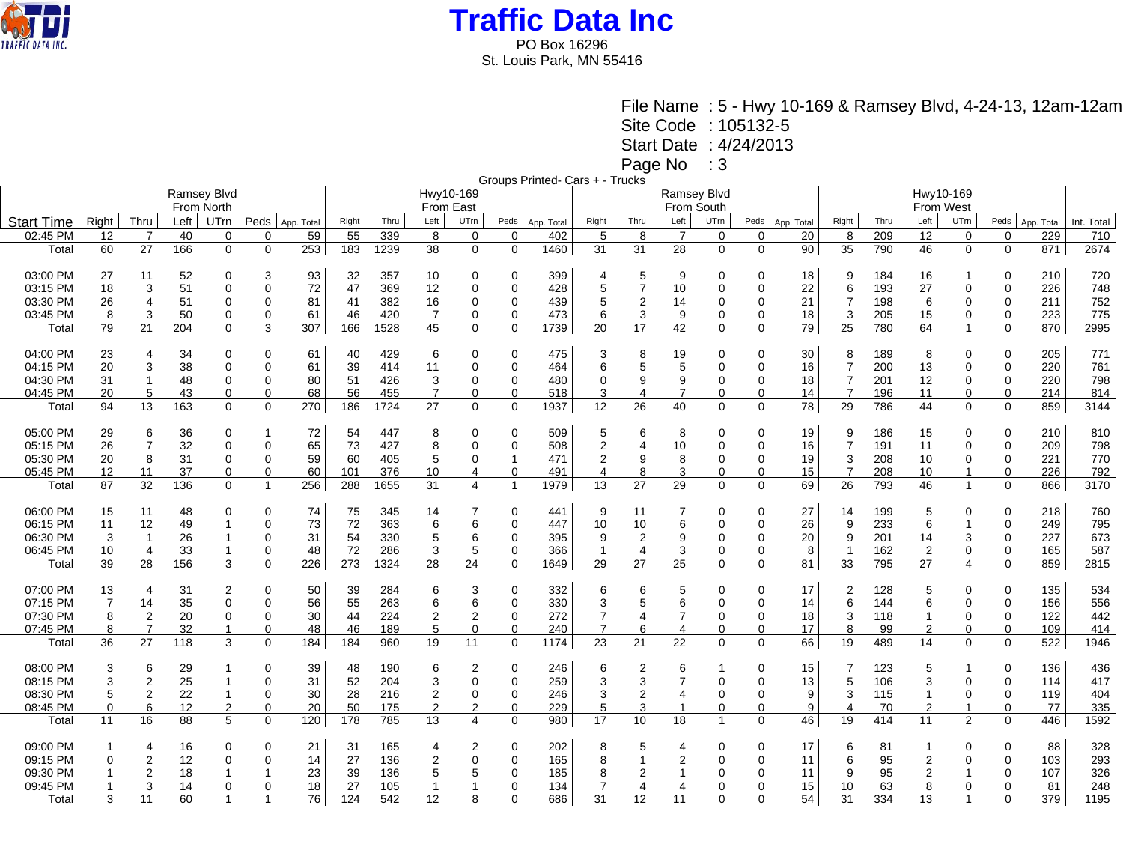

St. Louis Park, MN 55416

File Name : 5 - Hwy 10-169 & Ramsey Blvd, 4-24-13, 12am-12am

Site Code : 105132-5

Start Date : 4/24/2013

Page No : 3

Groups Printed- Cars + - Trucks

|                   |                          |                |      | Ramsey Blvd    |                |            | Hwy10-169 |      |                |                |                |            |                |                  | Ramsey Blvd    |              |          |            |                |      |                   |                |             |            |            |
|-------------------|--------------------------|----------------|------|----------------|----------------|------------|-----------|------|----------------|----------------|----------------|------------|----------------|------------------|----------------|--------------|----------|------------|----------------|------|-------------------|----------------|-------------|------------|------------|
|                   |                          |                |      | From North     |                |            | From East |      |                |                |                |            |                |                  | From South     |              |          |            |                |      |                   |                |             |            |            |
| <b>Start Time</b> | Right                    | Thru           | Left | UTrn           | Peds           | App. Total | Right     | Thru | Left           | UTrn           | Peds           | App. Total | Right          | Thru             | Left           | UTrn         | Peds     | App. Total | Right          | Thru | From West<br>Left | UTrn           | Peds        | App. Total | Int. Total |
| 02:45 PM          | 12                       | $\overline{7}$ | 40   | 0              | $\Omega$       | 59         | 55        | 339  | 8              | $\mathbf 0$    | $\mathbf 0$    | 402        | 5              | 8                | $\overline{7}$ | $\mathbf 0$  | 0        | 20         | 8              | 209  | 12                | $\mathbf 0$    | $\mathbf 0$ | 229        | 710        |
| Total             | 60                       | 27             | 166  | $\mathbf 0$    | $\Omega$       | 253        | 183       | 1239 | 38             | $\mathbf 0$    | $\mathbf 0$    | 1460       | 31             | 31               | 28             | $\mathbf 0$  | 0        | 90         | 35             | 790  | 46                | $\mathbf 0$    | $\mathbf 0$ | 871        | 2674       |
|                   |                          |                |      |                |                |            |           |      |                |                |                |            |                |                  |                |              |          |            |                |      |                   |                |             |            |            |
| 03:00 PM          | 27                       | 11             | 52   | 0              | 3              | 93         | 32        | 357  | 10             | 0              | $\mathbf 0$    | 399        | $\overline{4}$ | 5                | 9              | $\Omega$     | 0        | 18         | 9              | 184  | 16                |                | 0           | 210        | 720        |
| 03:15 PM          | 18                       | 3              | 51   | $\Omega$       | $\Omega$       | 72         | 47        | 369  | 12             | 0              | 0              | 428        | 5              | $\overline{7}$   | 10             | $\Omega$     | 0        | 22         | 6              | 193  | 27                | 0              | $\Omega$    | 226        | 748        |
|                   |                          |                |      |                | $\Omega$       |            |           |      |                |                |                |            |                |                  |                |              |          |            |                |      |                   |                |             |            |            |
| 03:30 PM          | 26                       | $\overline{4}$ | 51   | 0              |                | 81         | 41        | 382  | 16             | 0              | 0              | 439        | 5              | $\overline{2}$   | 14             | 0            | 0        | 21         | 7              | 198  | 6                 | $\Omega$       | 0           | 211        | 752        |
| 03:45 PM          | 8                        | 3              | 50   | $\Omega$       |                | 61         | 46        | 420  | $\overline{7}$ | $\Omega$       | 0              | 473        | 6              | 3                | 9              | 0            | $\Omega$ | 18         | 3              | 205  | 15                | 0              | $\Omega$    | 223        | 775        |
| Total             | 79                       | 21             | 204  | $\mathbf 0$    | 3              | 307        | 166       | 1528 | 45             | 0              | $\mathbf 0$    | 1739       | 20             | 17               | 42             | $\mathbf 0$  | 0        | 79         | 25             | 780  | 64                | $\mathbf{1}$   | $\mathbf 0$ | 870        | 2995       |
|                   |                          |                |      |                |                |            |           |      |                |                |                |            |                |                  |                |              |          |            |                |      |                   |                |             |            |            |
| 04:00 PM          | 23                       | 4              | 34   | 0              | $\Omega$       | 61         | 40        | 429  | 6              | 0              | 0              | 475        | 3              | 8                | 19             | $\mathbf 0$  | 0        | 30         | 8              | 189  | 8                 | 0              | 0           | 205        | 771        |
| 04:15 PM          | 20                       | 3              | 38   | $\Omega$       | $\Omega$       | 61         | 39        | 414  | 11             | $\mathbf 0$    | 0              | 464        | 6              | 5                | 5              | $\Omega$     | 0        | 16         | $\overline{7}$ | 200  | 13                | $\mathbf 0$    | $\mathbf 0$ | 220        | 761        |
| 04:30 PM          | 31                       |                | 48   | 0              | $\Omega$       | 80         | 51        | 426  | 3              | 0              | 0              | 480        | 0              | 9                | 9              | $\Omega$     | 0        | 18         | $\overline{7}$ | 201  | 12                | $\mathbf 0$    | 0           | 220        | 798        |
| 04:45 PM          | 20                       | 5              | 43   | $\mathbf 0$    | 0              | 68         | 56        | 455  | $\overline{7}$ | 0              | $\mathbf 0$    | 518        | 3              | 4                | 7              | $\mathbf 0$  | 0        | 14         | $\overline{7}$ | 196  | 11                | 0              | $\mathbf 0$ | 214        | 814        |
| Total             | 94                       | 13             | 163  | 0              | $\Omega$       | 270        | 186       | 1724 | 27             | $\mathbf 0$    | $\mathbf 0$    | 1937       | 12             | 26               | 40             | $\mathbf 0$  | 0        | 78         | 29             | 786  | 44                | $\mathbf 0$    | $\mathbf 0$ | 859        | 3144       |
| 05:00 PM          | 29                       | 6              | 36   | $\Omega$       |                | 72         | 54        | 447  | 8              | 0              | $\Omega$       | 509        | 5              | 6                | 8              | $\Omega$     | 0        | 19         | 9              | 186  | 15                | $\Omega$       | $\Omega$    | 210        | 810        |
| 05:15 PM          | 26                       | $\overline{7}$ | 32   | $\Omega$       | $\Omega$       | 65         | 73        | 427  | 8              | $\mathbf 0$    | 0              | 508        | $\overline{2}$ | 4                | 10             | $\Omega$     | 0        | 16         | $\overline{7}$ | 191  | 11                | $\mathbf 0$    | $\Omega$    | 209        | 798        |
| 05:30 PM          | 20                       | 8              | 31   | 0              | $\Omega$       | 59         | 60        | 405  | 5              | 0              | $\mathbf 1$    | 471        | 2              | 9                | 8              | 0            | 0        | 19         | 3              | 208  | 10                | 0              | 0           | 221        | 770        |
| 05:45 PM          | 12                       | 11             | 37   | $\mathbf 0$    | $\Omega$       | 60         | 101       | 376  | 10             | 4              | 0              | 491        | $\overline{4}$ | 8                | 3              | $\mathbf 0$  | 0        | 15         | $\overline{7}$ | 208  | 10                | 1              | $\Omega$    | 226        | 792        |
| Total             | 87                       | 32             | 136  | $\mathbf 0$    | $\mathbf{1}$   | 256        | 288       | 1655 | 31             | $\overline{4}$ | $\overline{1}$ | 1979       | 13             | 27               | 29             | $\mathbf 0$  | 0        | 69         | 26             | 793  | 46                | $\mathbf{1}$   | $\mathbf 0$ | 866        | 3170       |
|                   |                          |                |      |                |                |            |           |      |                |                |                |            |                |                  |                |              |          |            |                |      |                   |                |             |            |            |
| 06:00 PM          | 15                       | 11             | 48   | 0              | $\Omega$       | 74         | 75        | 345  | 14             |                | $\Omega$       | 441        | 9              | 11               |                | $\Omega$     | 0        | 27         | 14             | 199  | 5                 | 0              | $\Omega$    | 218        | 760        |
| 06:15 PM          | 11                       | 12             | 49   |                | $\Omega$       | 73         | 72        | 363  | 6              | 6              | 0              | 447        | 10             | 10               | 6              | 0            | 0        | 26         | 9              | 233  | 6                 | $\mathbf{1}$   | $\mathbf 0$ | 249        | 795        |
| 06:30 PM          | 3                        |                | 26   |                | 0              | 31         | 54        | 330  | 5              | 6              | 0              | 395        | 9              | 2                | 9              | 0            | 0        | 20         | 9              | 201  | 14                | 3              | 0           | 227        | 673        |
| 06:45 PM          | 10                       | 4              | 33   | -1             | 0              | 48         | 72        | 286  | 3              | 5              | 0              | 366        | -1             | 4                | 3              | 0            | $\Omega$ | 8          |                | 162  | 2                 | $\mathbf 0$    | 0           | 165        | 587        |
| Total             | 39                       | 28             | 156  | 3              | $\Omega$       | 226        | 273       | 1324 | 28             | 24             | $\mathbf 0$    | 1649       | 29             | 27               | 25             | $\mathbf 0$  | 0        | 81         | 33             | 795  | 27                | 4              | $\Omega$    | 859        | 2815       |
|                   |                          |                |      |                |                |            |           |      |                |                |                |            |                |                  |                |              |          |            |                |      |                   |                |             |            |            |
| 07:00 PM          | 13                       | 4              | 31   | $\overline{2}$ | $\Omega$       | 50         | 39        | 284  | 6              | 3              | 0              | 332        | 6              | 6                | 5              | $\Omega$     | 0        | 17         | 2              | 128  | 5                 | $\Omega$       | $\Omega$    | 135        | 534        |
| 07:15 PM          | $\overline{7}$           | 14             | 35   | $\Omega$       | $\Omega$       | 56         | 55        | 263  | 6              | 6              | 0              | 330        | 3              | 5                | 6              | $\Omega$     | $\Omega$ | 14         | 6              | 144  | 6                 | $\mathbf 0$    | $\mathbf 0$ | 156        | 556        |
| 07:30 PM          | 8                        | $\overline{2}$ | 20   | 0              | $\Omega$       | 30         | 44        | 224  | $\overline{2}$ | 2              | 0              | 272        | 7              | 4                | 7              | $\mathbf 0$  | 0        | 18         | 3              | 118  | -1                | $\mathbf 0$    | 0           | 122        | 442        |
| 07:45 PM          | 8                        | 7              | 32   | 1              | $\Omega$       | 48         | 46        | 189  | 5              | 0              | 0              | 240        | $\overline{7}$ | 6                | $\overline{4}$ | 0            | 0        | 17         | 8              | 99   | $\overline{2}$    | $\Omega$       | $\Omega$    | 109        | 414        |
| Total             | 36                       | 27             | 118  | 3              | $\Omega$       | 184        | 184       | 960  | 19             | 11             | $\mathbf 0$    | 1174       | 23             | 21               | 22             | $\mathbf 0$  | 0        | 66         | 19             | 489  | 14                | $\mathbf 0$    | $\mathbf 0$ | 522        | 1946       |
|                   |                          |                |      |                |                |            |           |      |                |                |                |            |                |                  |                |              |          |            |                |      |                   |                |             |            |            |
| 08:00 PM          | 3                        | 6              | 29   |                | $\Omega$       | 39         | 48        | 190  | 6              | 2              | 0              | 246        | 6              | $\overline{2}$   | 6              |              | 0        | 15         |                | 123  | 5                 |                | $\Omega$    | 136        | 436        |
| 08:15 PM          | 3                        | $\overline{2}$ | 25   |                | $\Omega$       | 31         | 52        | 204  | 3              | $\mathbf 0$    | 0              | 259        | 3              | 3                | 7              | $\Omega$     | 0        | 13         | 5              | 106  | 3                 | $\Omega$       | $\mathbf 0$ | 114        | 417        |
| 08:30 PM          | 5                        | $\overline{2}$ | 22   | $\overline{1}$ | $\Omega$       | 30         | 28        | 216  | $\overline{2}$ | 0              | 0              | 246        | 3              | $\boldsymbol{2}$ |                | $\Omega$     | 0        | 9          | 3              | 115  | $\mathbf 1$       | 0              | $\mathbf 0$ | 119        | 404        |
| 08:45 PM          | $\Omega$                 | 6              | 12   | $\overline{2}$ | $\Omega$       | 20         | 50        | 175  | $\overline{2}$ | 2              | 0              | 229        | 5              | 3                |                | $\Omega$     | $\Omega$ | 9          | 4              | 70   | $\overline{2}$    |                | $\Omega$    | 77         | 335        |
| Total             | 11                       | 16             | 88   | 5              | $\Omega$       | 120        | 178       | 785  | 13             | 4              | $\mathbf 0$    | 980        | 17             | 10               | 18             | $\mathbf{1}$ | 0        | 46         | 19             | 414  | 11                | $\overline{2}$ | $\Omega$    | 446        | 1592       |
| 09:00 PM          | 1                        |                | 16   | 0              | $\Omega$       | 21         | 31        | 165  | 4              | 2              | 0              | 202        | 8              | 5                | 4              | $\Omega$     | 0        | 17         | 6              | 81   | 1                 | 0              | $\Omega$    | 88         | 328        |
| 09:15 PM          | 0                        | $\overline{2}$ | 12   | $\Omega$       |                | 14         | 27        | 136  | $\overline{2}$ | $\Omega$       | 0              | 165        | 8              | 1                |                | $\Omega$     | $\Omega$ | 11         | 6              | 95   | $\overline{2}$    | $\Omega$       | $\Omega$    | 103        | 293        |
| 09:30 PM          | $\overline{\phantom{a}}$ | $\overline{2}$ | 18   |                |                | 23         | 39        | 136  | 5              | 5              | 0              | 185        | 8              | $\overline{2}$   |                | $\mathbf 0$  | 0        | 11         | 9              | 95   | 2                 |                | 0           | 107        | 326        |
| 09:45 PM          |                          | 3              | 14   | 0              |                | 18         | 27        | 105  |                |                | 0              | 134        |                | 4                |                | 0            | 0        | 15         | 10             | 63   | 8                 | 0              | $\Omega$    | 81         | 248        |
|                   | 3                        | 11             | 60   | $\overline{1}$ | $\overline{1}$ | 76         | 124       | 542  | 12             | 8              | $\mathbf 0$    | 686        | 31             | 12               | 11             | $\Omega$     | $\Omega$ | 54         | 31             | 334  | 13                | 1              | $\Omega$    | 379        | 1195       |
| Total             |                          |                |      |                |                |            |           |      |                |                |                |            |                |                  |                |              |          |            |                |      |                   |                |             |            |            |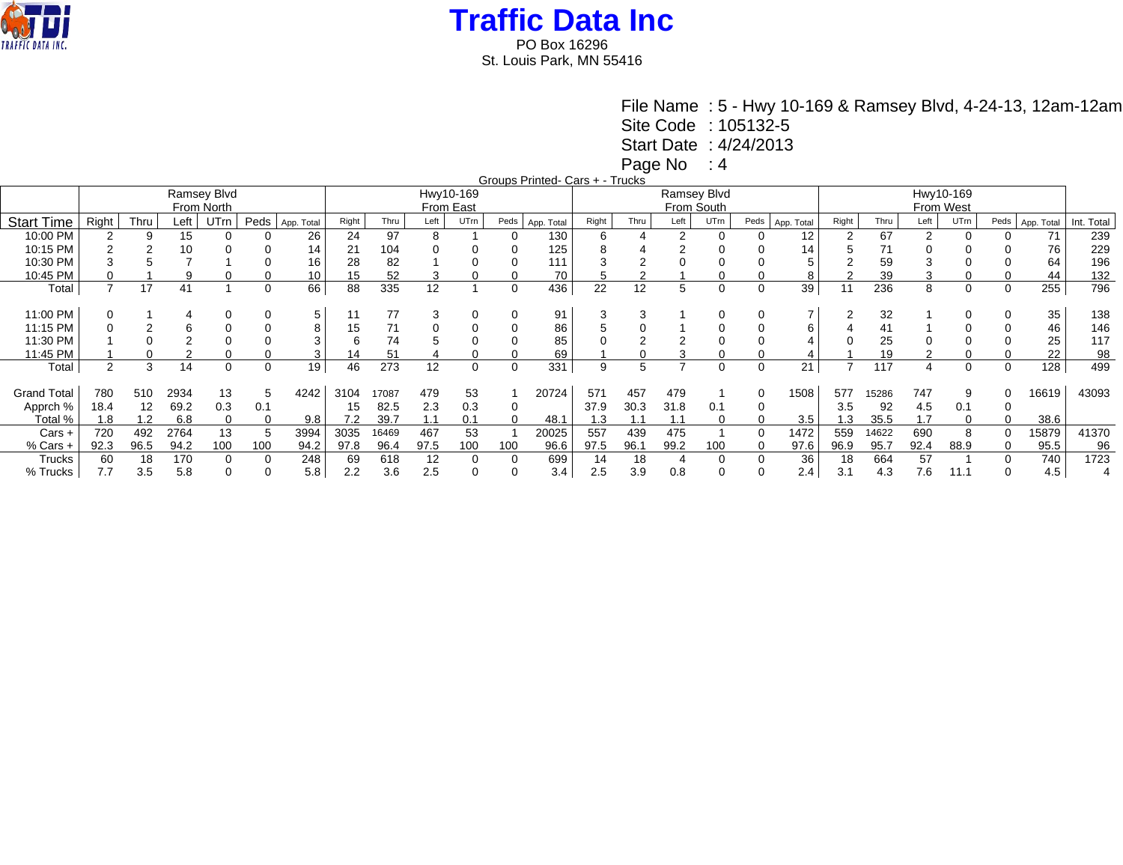

St. Louis Park, MN 55416

File Name : 5 - Hwy 10-169 & Ramsey Blvd, 4-24-13, 12am-12am

Site Code : 105132-5

Start Date : 4/24/2013

Page No : 4

Groups Printed- Cars + - Trucks

|                    |       |                   |      | Ramsey Blvd<br>From North |      |            |       |       |      | Hwy10-169<br>From East |             |            |       |            | From South | Ramsey Blvd |          |            | Hwy10-169<br>From West |       |      |          |      |            |            |  |
|--------------------|-------|-------------------|------|---------------------------|------|------------|-------|-------|------|------------------------|-------------|------------|-------|------------|------------|-------------|----------|------------|------------------------|-------|------|----------|------|------------|------------|--|
| <b>Start Time</b>  | Right | Thru              | Left | <b>UTrn</b>               | Peds | App. Total | Right | Thru  | Left | UTrn                   | Peds        | App. Total | Right | Thru       | Left       | UTrn        | Peds     | App. Total | Right                  | Thru  | Left | UTrn     | Peds | App. Total | Int. Total |  |
| 10:00 PM           |       |                   | 15   |                           |      | 26         | 24    | 97    | 8    |                        |             | 130        |       |            | 2          | $\Omega$    |          | 12         |                        | 67    | 2    |          |      | 71         | 239        |  |
| 10:15 PM           |       |                   | 10   |                           |      | 14         | 21    | 104   |      |                        |             | 125        |       |            |            |             |          | 14         |                        |       |      |          |      | 76         | 229        |  |
| 10:30 PM           |       |                   |      |                           |      | 16         | 28    | 82    |      |                        |             | 111        |       |            |            |             |          |            |                        | 59    |      |          |      | 64         | 196        |  |
| 10:45 PM           |       |                   |      |                           |      | 10         | 15    | 52    |      |                        |             | 70         |       | $\sqrt{2}$ |            |             |          | 8          |                        | 39    | 3    |          |      | 44         | 132        |  |
| Total              |       | 17                | 41   |                           | 0    | 66         | 88    | 335   | 12   |                        | $\mathbf 0$ | 436        | 22    | 12         | 5          | 0           | $\Omega$ | 39         | 11                     | 236   | 8    | $\Omega$ | 0    | 255        | 796        |  |
|                    |       |                   |      |                           |      |            |       |       |      |                        |             |            |       |            |            |             |          |            |                        |       |      |          |      |            |            |  |
| 11:00 PM           |       |                   |      |                           |      | 5          |       | 77    |      |                        |             | 91         |       |            |            |             |          |            |                        | 32    |      |          |      | 35         | 138        |  |
| 11:15 PM           |       |                   |      |                           |      | 8          | 15    | 71    |      |                        |             | 86         |       |            |            |             |          | 6          |                        |       |      |          |      | 46         | 146        |  |
| 11:30 PM           |       |                   |      |                           |      |            |       | 74    |      |                        |             | 85         |       |            |            |             |          |            |                        | 25    |      |          |      | 25         | 117        |  |
| 11:45 PM           |       |                   |      |                           |      | 3          | 14    | 51    |      |                        |             | 69         |       |            |            |             |          |            |                        | 19    |      |          |      | 22         | 98         |  |
| Total              | 2     | 3                 | 14   | $\Omega$                  | 0    | 19         | 46    | 273   | 12   | $\Omega$               | 0           | 331        | 9     | 5          |            | $\Omega$    | 0        | 21         |                        | 117   | 4    | $\Omega$ | 0    | 128        | 499        |  |
|                    |       |                   |      |                           |      |            |       |       | 479  |                        |             |            |       | 457        | 479        |             | $\Omega$ |            |                        |       | 747  |          |      |            |            |  |
| <b>Grand Total</b> | 780   | 510               | 2934 | 13                        |      | 4242       | 3104  | 17087 |      | 53                     |             | 20724      | 571   |            |            |             |          | 1508       | 577                    | 15286 |      |          |      | 16619      | 43093      |  |
| Apprch %           | 18.4  | $12 \overline{ }$ | 69.2 | 0.3                       | 0.1  |            | 15    | 82.5  | 2.3  | 0.3                    | 0           |            | 37.9  | 30.3       | 31.8       | 0.1         |          |            | 3.5                    | 92    | 4.5  | 0.1      |      |            |            |  |
| Total %            | 1.8   | 1.2               | 6.8  |                           |      | 9.8        | 7.2   | 39.7  | 1.1  | 0.1                    | 0           | 48.1       | 1.3   | 1.1        | 1.1        | 0           |          | 3.5        | 1.3                    | 35.5  | 1.7  |          |      | 38.6       |            |  |
| Cars +             | 720   | 492               | 2764 | 13                        |      | 3994       | 3035  | 16469 | 467  | 53                     |             | 20025      | 557   | 439        | 475        |             | $\Omega$ | 1472       | 559                    | 14622 | 690  |          |      | 15879      | 41370      |  |
| % Cars +           | 92.3  | 96.5              | 94.2 | 100                       | 100  | 94.2       | 97.8  | 96.4  | 97.5 | 100                    | 100         | 96.6       | 97.5  | 96.1       | 99.2       | 100         |          | 97.6       | 96.9                   | 95.7  | 92.4 | 88.9     |      | 95.5       | 96         |  |
| Trucks             | 60    | 18                | 170  |                           |      | 248        | 69    | 618   | 12   |                        | 0           | 699        | 14    | 18         |            | 0           |          | 36         | 18                     | 664   | 57   |          |      | 740        | 1723       |  |
| % Trucks           | 7.7   | 3.5               | 5.8  |                           |      | 5.8        | 2.2   | 3.6   | 2.5  |                        |             | 3.4        | 2.5   | 3.9        | 0.8        |             |          | 2.4        | 3.1                    | 4.3   | 7.6  | 11.1     |      | 4.5        |            |  |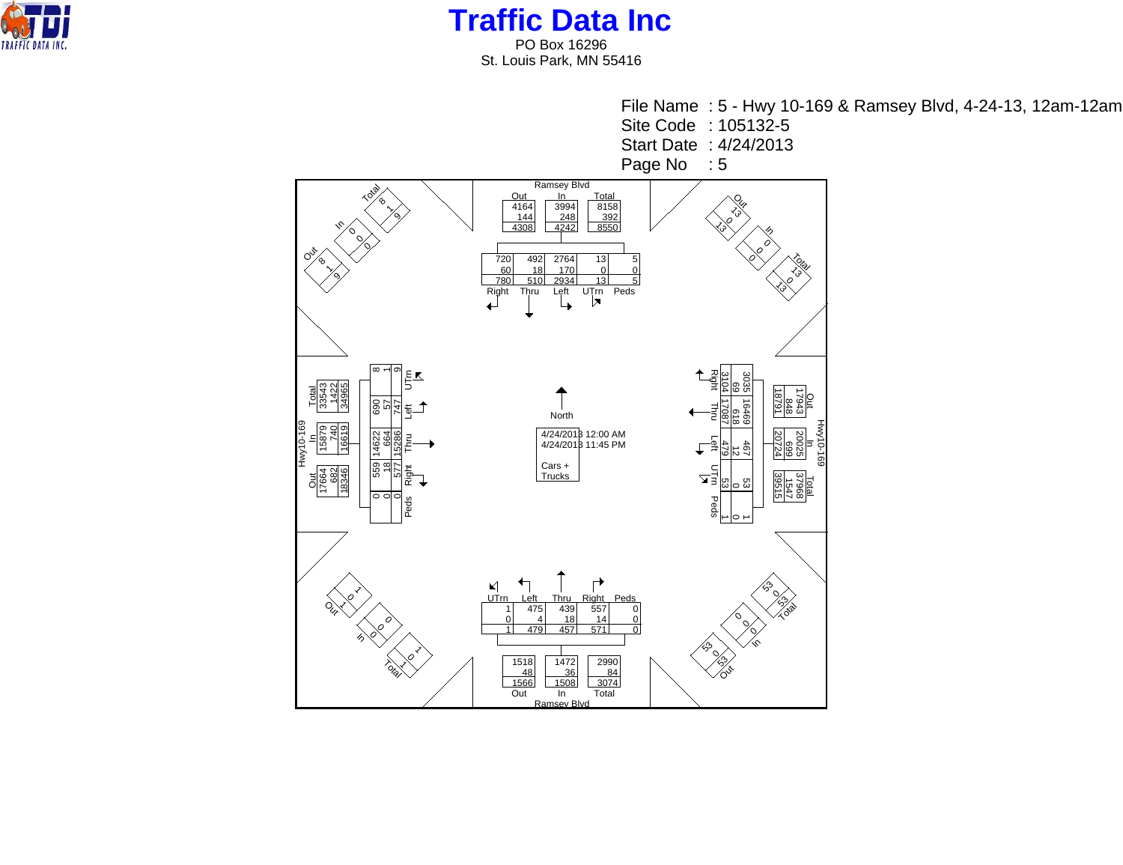

**Traffic Data Inc** PO Box 16296 St. Louis Park, MN 55416